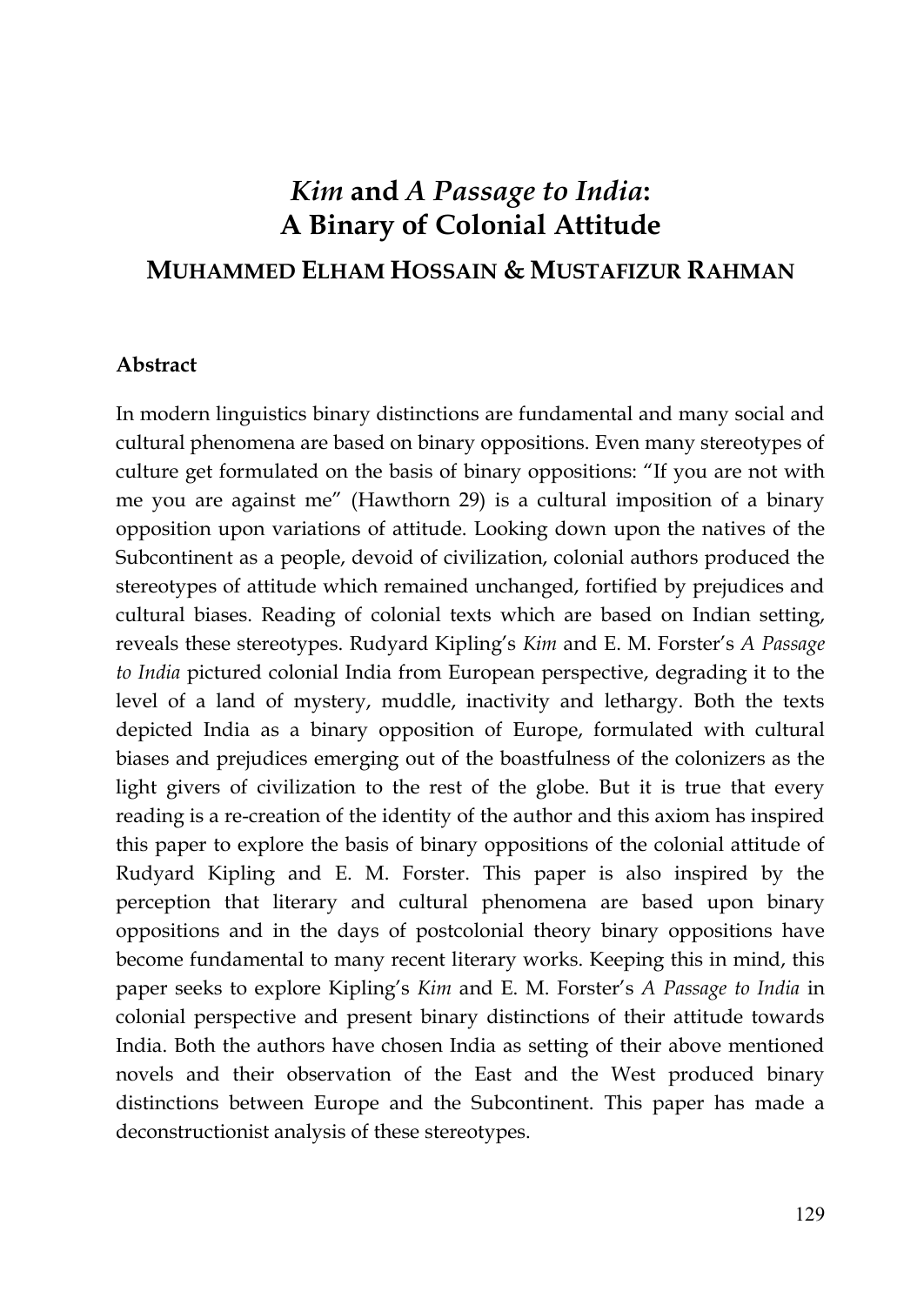## *Kim* **and** *A Passage to India***: A Binary of Colonial Attitude**

## **MUHAMMED ELHAM HOSSAIN & MUSTAFIZUR RAHMAN**

## **Abstract**

In modern linguistics binary distinctions are fundamental and many social and cultural phenomena are based on binary oppositions. Even many stereotypes of culture get formulated on the basis of binary oppositions: "If you are not with me you are against me" (Hawthorn 29) is a cultural imposition of a binary opposition upon variations of attitude. Looking down upon the natives of the Subcontinent as a people, devoid of civilization, colonial authors produced the stereotypes of attitude which remained unchanged, fortified by prejudices and cultural biases. Reading of colonial texts which are based on Indian setting, reveals these stereotypes. Rudyard Kipling's *Kim* and E. M. Forster's *A Passage to India* pictured colonial India from European perspective, degrading it to the level of a land of mystery, muddle, inactivity and lethargy. Both the texts depicted India as a binary opposition of Europe, formulated with cultural biases and prejudices emerging out of the boastfulness of the colonizers as the light givers of civilization to the rest of the globe. But it is true that every reading is a re-creation of the identity of the author and this axiom has inspired this paper to explore the basis of binary oppositions of the colonial attitude of Rudyard Kipling and E. M. Forster. This paper is also inspired by the perception that literary and cultural phenomena are based upon binary oppositions and in the days of postcolonial theory binary oppositions have become fundamental to many recent literary works. Keeping this in mind, this paper seeks to explore Kipling's *Kim* and E. M. Forster's *A Passage to India* in colonial perspective and present binary distinctions of their attitude towards India. Both the authors have chosen India as setting of their above mentioned novels and their observation of the East and the West produced binary distinctions between Europe and the Subcontinent. This paper has made a deconstructionist analysis of these stereotypes.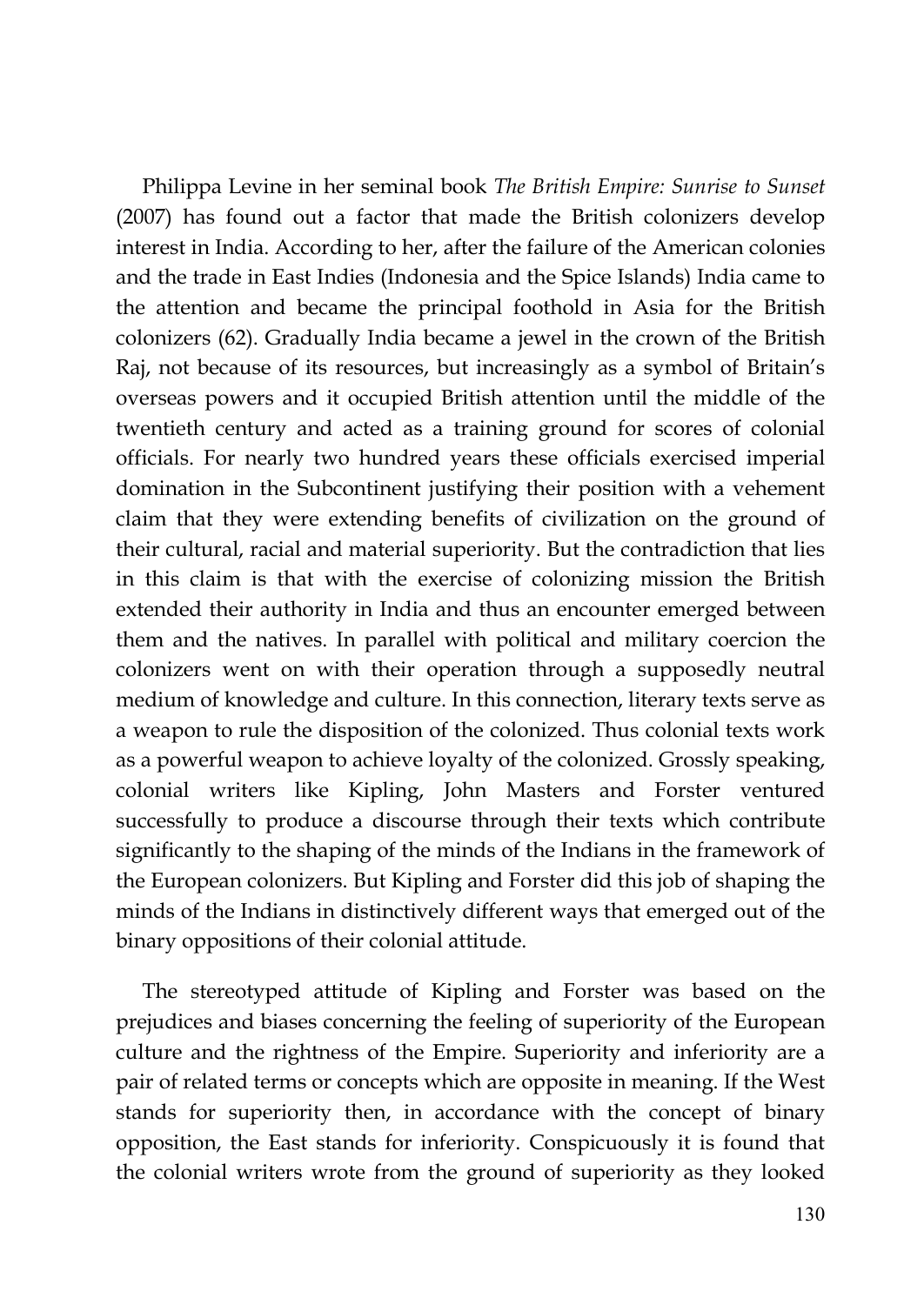Philippa Levine in her seminal book *The British Empire: Sunrise to Sunset* (2007) has found out a factor that made the British colonizers develop interest in India. According to her, after the failure of the American colonies and the trade in East Indies (Indonesia and the Spice Islands) India came to the attention and became the principal foothold in Asia for the British colonizers (62). Gradually India became a jewel in the crown of the British Raj, not because of its resources, but increasingly as a symbol of Britain's overseas powers and it occupied British attention until the middle of the twentieth century and acted as a training ground for scores of colonial officials. For nearly two hundred years these officials exercised imperial domination in the Subcontinent justifying their position with a vehement claim that they were extending benefits of civilization on the ground of their cultural, racial and material superiority. But the contradiction that lies in this claim is that with the exercise of colonizing mission the British extended their authority in India and thus an encounter emerged between them and the natives. In parallel with political and military coercion the colonizers went on with their operation through a supposedly neutral medium of knowledge and culture. In this connection, literary texts serve as a weapon to rule the disposition of the colonized. Thus colonial texts work as a powerful weapon to achieve loyalty of the colonized. Grossly speaking, colonial writers like Kipling, John Masters and Forster ventured successfully to produce a discourse through their texts which contribute significantly to the shaping of the minds of the Indians in the framework of the European colonizers. But Kipling and Forster did this job of shaping the minds of the Indians in distinctively different ways that emerged out of the binary oppositions of their colonial attitude.

The stereotyped attitude of Kipling and Forster was based on the prejudices and biases concerning the feeling of superiority of the European culture and the rightness of the Empire. Superiority and inferiority are a pair of related terms or concepts which are opposite in meaning. If the West stands for superiority then, in accordance with the concept of binary opposition, the East stands for inferiority. Conspicuously it is found that the colonial writers wrote from the ground of superiority as they looked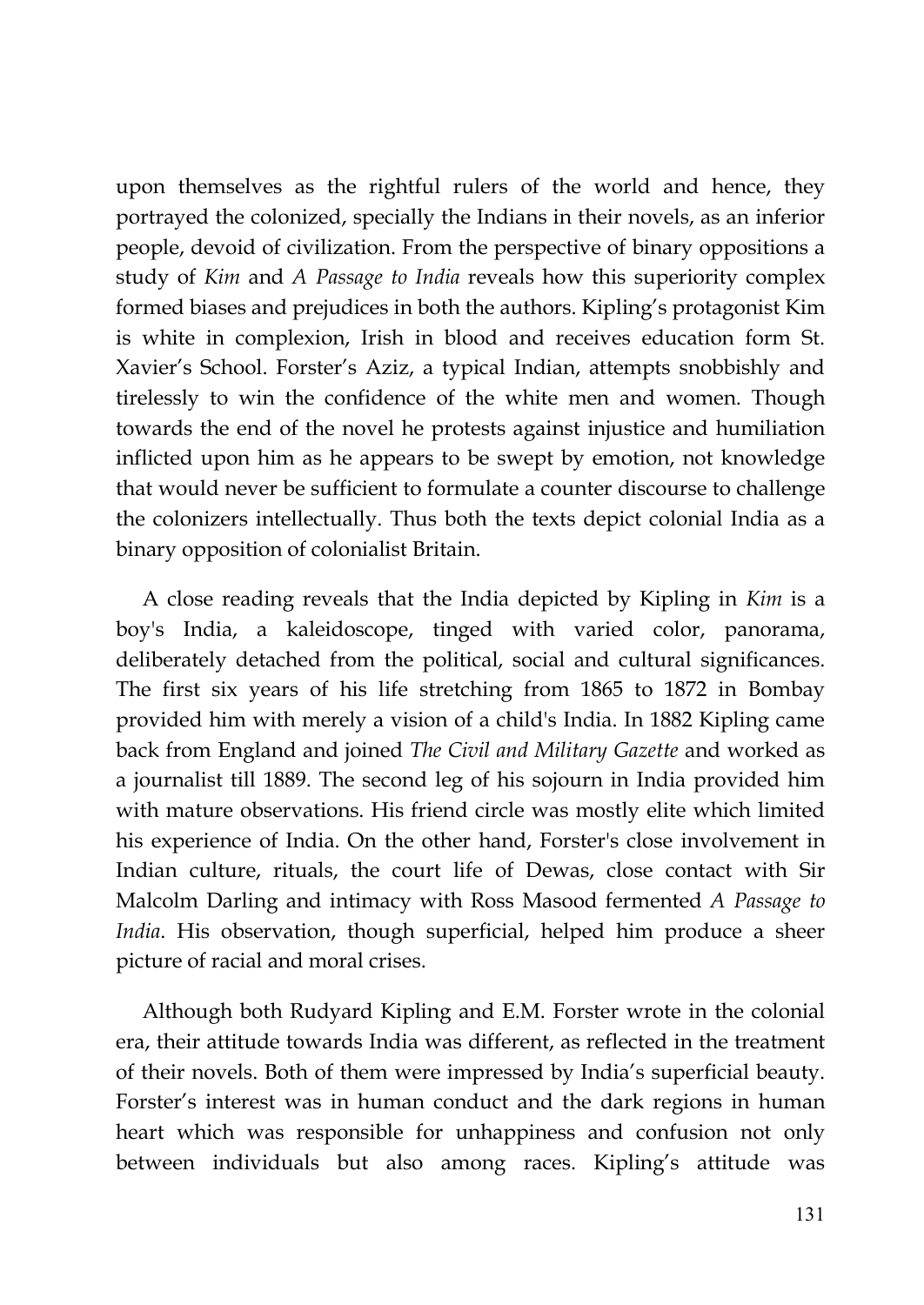upon themselves as the rightful rulers of the world and hence, they portrayed the colonized, specially the Indians in their novels, as an inferior people, devoid of civilization. From the perspective of binary oppositions a study of *Kim* and *A Passage to India* reveals how this superiority complex formed biases and prejudices in both the authors. Kipling's protagonist Kim is white in complexion, Irish in blood and receives education form St. Xavier's School. Forster's Aziz, a typical Indian, attempts snobbishly and tirelessly to win the confidence of the white men and women. Though towards the end of the novel he protests against injustice and humiliation inflicted upon him as he appears to be swept by emotion, not knowledge that would never be sufficient to formulate a counter discourse to challenge the colonizers intellectually. Thus both the texts depict colonial India as a binary opposition of colonialist Britain.

A close reading reveals that the India depicted by Kipling in *Kim* is a boy's India, a kaleidoscope, tinged with varied color, panorama, deliberately detached from the political, social and cultural significances. The first six years of his life stretching from 1865 to 1872 in Bombay provided him with merely a vision of a child's India. In 1882 Kipling came back from England and joined *The Civil and Military Gazette* and worked as a journalist till 1889. The second leg of his sojourn in India provided him with mature observations. His friend circle was mostly elite which limited his experience of India. On the other hand, Forster's close involvement in Indian culture, rituals, the court life of Dewas, close contact with Sir Malcolm Darling and intimacy with Ross Masood fermented *A Passage to India*. His observation, though superficial, helped him produce a sheer picture of racial and moral crises.

Although both Rudyard Kipling and E.M. Forster wrote in the colonial era, their attitude towards India was different, as reflected in the treatment of their novels. Both of them were impressed by India's superficial beauty. Forster's interest was in human conduct and the dark regions in human heart which was responsible for unhappiness and confusion not only between individuals but also among races. Kipling's attitude was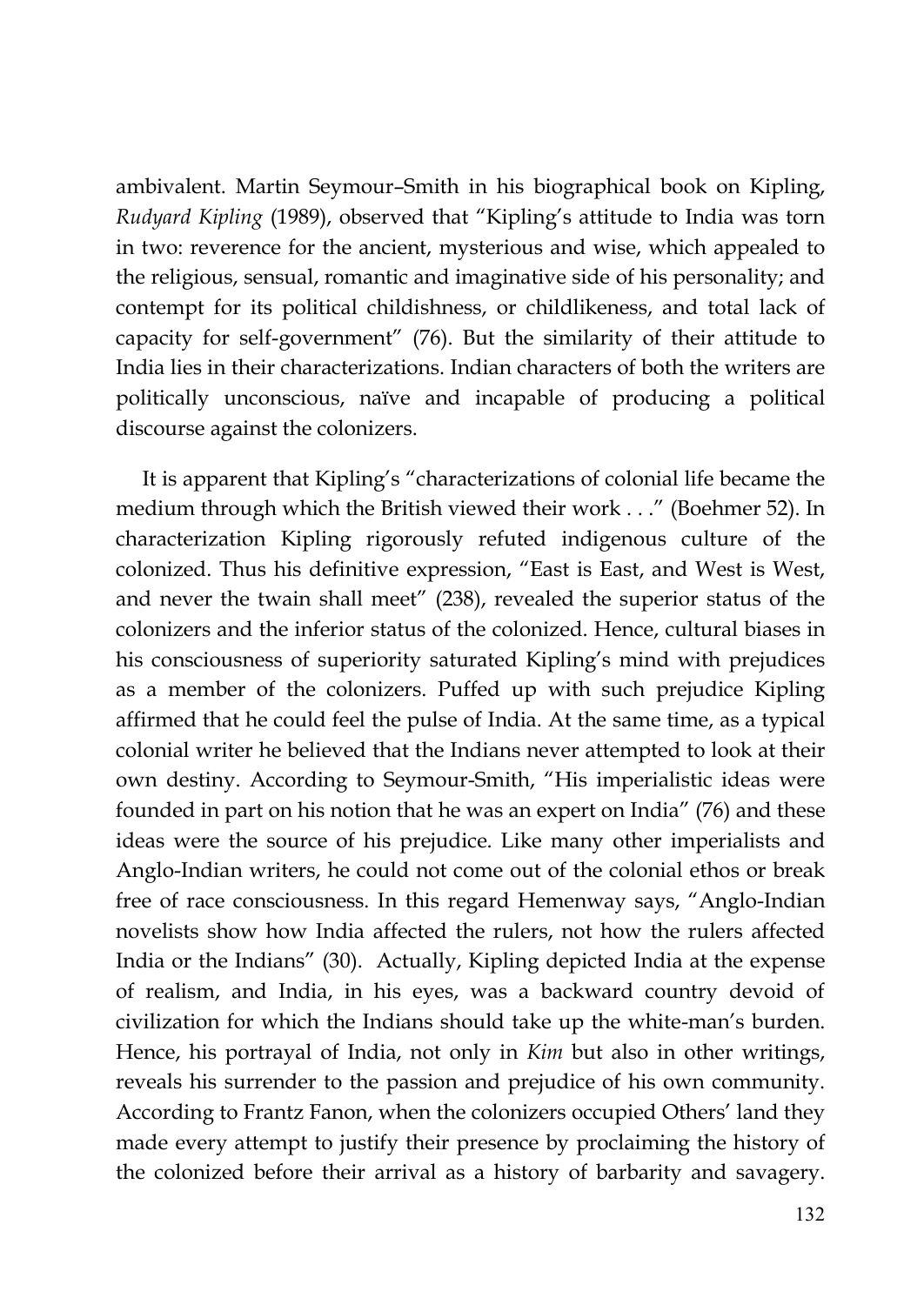ambivalent. Martin Seymour–Smith in his biographical book on Kipling, *Rudyard Kipling* (1989), observed that "Kipling's attitude to India was torn in two: reverence for the ancient, mysterious and wise, which appealed to the religious, sensual, romantic and imaginative side of his personality; and contempt for its political childishness, or childlikeness, and total lack of capacity for self-government" (76). But the similarity of their attitude to India lies in their characterizations. Indian characters of both the writers are politically unconscious, naïve and incapable of producing a political discourse against the colonizers.

It is apparent that Kipling's "characterizations of colonial life became the medium through which the British viewed their work . . ." (Boehmer 52). In characterization Kipling rigorously refuted indigenous culture of the colonized. Thus his definitive expression, "East is East, and West is West, and never the twain shall meet" (238), revealed the superior status of the colonizers and the inferior status of the colonized. Hence, cultural biases in his consciousness of superiority saturated Kipling's mind with prejudices as a member of the colonizers. Puffed up with such prejudice Kipling affirmed that he could feel the pulse of India. At the same time, as a typical colonial writer he believed that the Indians never attempted to look at their own destiny. According to Seymour-Smith, "His imperialistic ideas were founded in part on his notion that he was an expert on India" (76) and these ideas were the source of his prejudice. Like many other imperialists and Anglo-Indian writers, he could not come out of the colonial ethos or break free of race consciousness. In this regard Hemenway says, "Anglo-Indian novelists show how India affected the rulers, not how the rulers affected India or the Indians" (30). Actually, Kipling depicted India at the expense of realism, and India, in his eyes, was a backward country devoid of civilization for which the Indians should take up the white-man's burden. Hence, his portrayal of India, not only in *Kim* but also in other writings, reveals his surrender to the passion and prejudice of his own community. According to Frantz Fanon, when the colonizers occupied Others' land they made every attempt to justify their presence by proclaiming the history of the colonized before their arrival as a history of barbarity and savagery.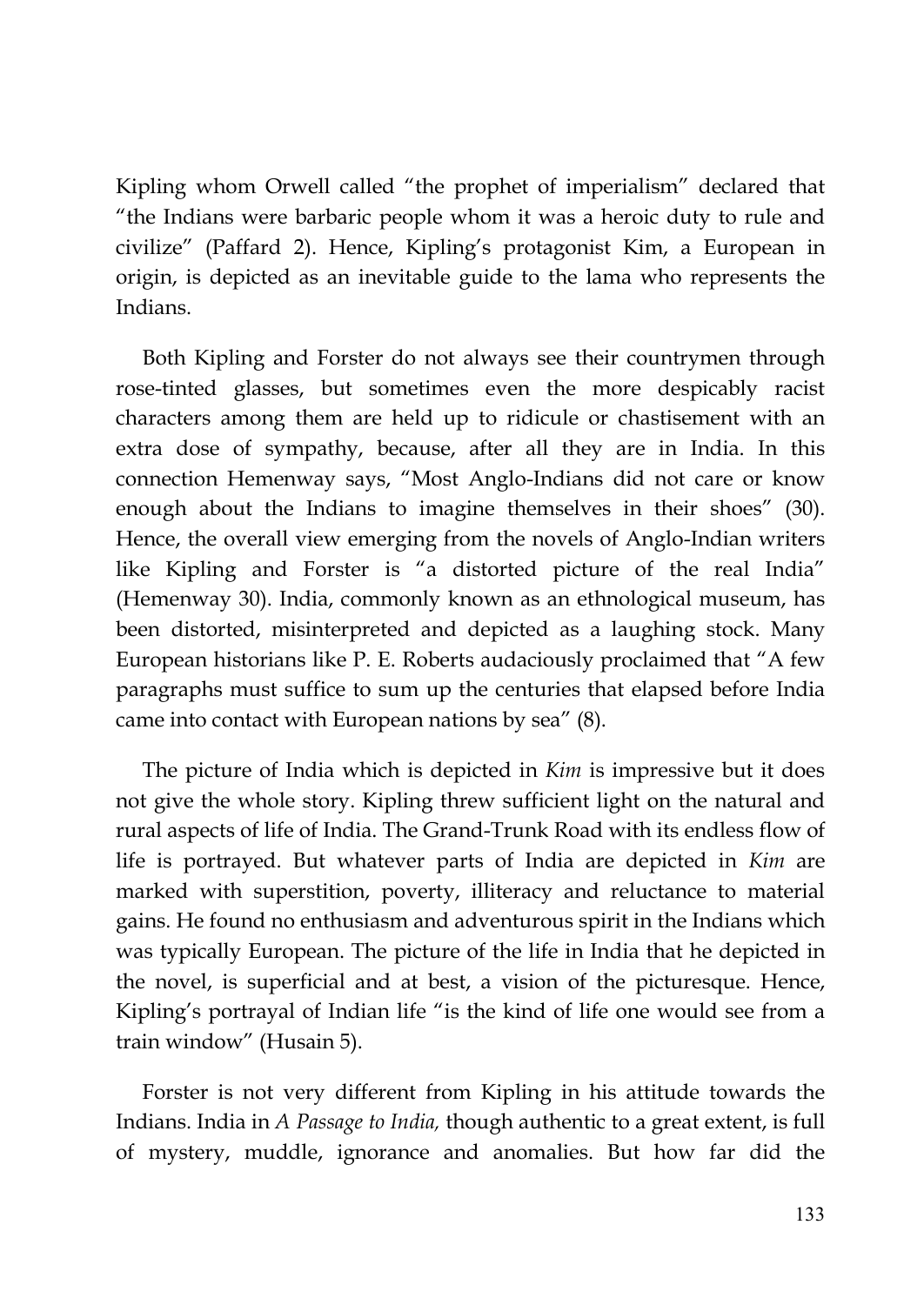Kipling whom Orwell called "the prophet of imperialism" declared that "the Indians were barbaric people whom it was a heroic duty to rule and civilize" (Paffard 2). Hence, Kipling's protagonist Kim, a European in origin, is depicted as an inevitable guide to the lama who represents the Indians.

Both Kipling and Forster do not always see their countrymen through rose-tinted glasses, but sometimes even the more despicably racist characters among them are held up to ridicule or chastisement with an extra dose of sympathy, because, after all they are in India. In this connection Hemenway says, "Most Anglo-Indians did not care or know enough about the Indians to imagine themselves in their shoes" (30). Hence, the overall view emerging from the novels of Anglo-Indian writers like Kipling and Forster is "a distorted picture of the real India" (Hemenway 30). India, commonly known as an ethnological museum, has been distorted, misinterpreted and depicted as a laughing stock. Many European historians like P. E. Roberts audaciously proclaimed that "A few paragraphs must suffice to sum up the centuries that elapsed before India came into contact with European nations by sea" (8).

The picture of India which is depicted in *Kim* is impressive but it does not give the whole story. Kipling threw sufficient light on the natural and rural aspects of life of India. The Grand-Trunk Road with its endless flow of life is portrayed. But whatever parts of India are depicted in *Kim* are marked with superstition, poverty, illiteracy and reluctance to material gains. He found no enthusiasm and adventurous spirit in the Indians which was typically European. The picture of the life in India that he depicted in the novel, is superficial and at best, a vision of the picturesque. Hence, Kipling's portrayal of Indian life "is the kind of life one would see from a train window" (Husain 5).

Forster is not very different from Kipling in his attitude towards the Indians. India in *A Passage to India,* though authentic to a great extent, is full of mystery, muddle, ignorance and anomalies. But how far did the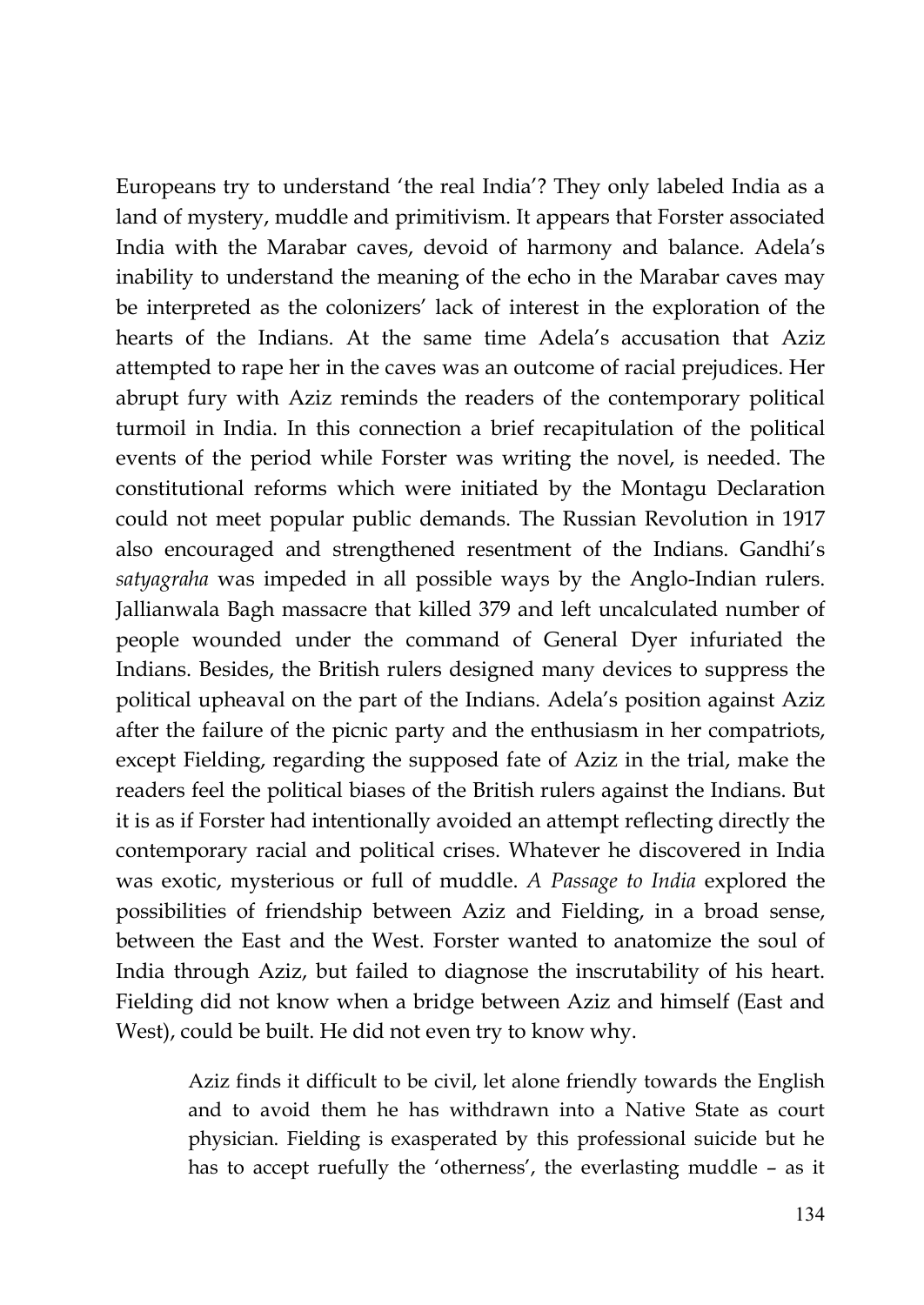Europeans try to understand 'the real India'? They only labeled India as a land of mystery, muddle and primitivism. It appears that Forster associated India with the Marabar caves, devoid of harmony and balance. Adela's inability to understand the meaning of the echo in the Marabar caves may be interpreted as the colonizers' lack of interest in the exploration of the hearts of the Indians. At the same time Adela's accusation that Aziz attempted to rape her in the caves was an outcome of racial prejudices. Her abrupt fury with Aziz reminds the readers of the contemporary political turmoil in India. In this connection a brief recapitulation of the political events of the period while Forster was writing the novel, is needed. The constitutional reforms which were initiated by the Montagu Declaration could not meet popular public demands. The Russian Revolution in 1917 also encouraged and strengthened resentment of the Indians. Gandhi's *satyagraha* was impeded in all possible ways by the Anglo-Indian rulers. Jallianwala Bagh massacre that killed 379 and left uncalculated number of people wounded under the command of General Dyer infuriated the Indians. Besides, the British rulers designed many devices to suppress the political upheaval on the part of the Indians. Adela's position against Aziz after the failure of the picnic party and the enthusiasm in her compatriots, except Fielding, regarding the supposed fate of Aziz in the trial, make the readers feel the political biases of the British rulers against the Indians. But it is as if Forster had intentionally avoided an attempt reflecting directly the contemporary racial and political crises. Whatever he discovered in India was exotic, mysterious or full of muddle. *A Passage to India* explored the possibilities of friendship between Aziz and Fielding, in a broad sense, between the East and the West. Forster wanted to anatomize the soul of India through Aziz, but failed to diagnose the inscrutability of his heart. Fielding did not know when a bridge between Aziz and himself (East and West), could be built. He did not even try to know why.

> Aziz finds it difficult to be civil, let alone friendly towards the English and to avoid them he has withdrawn into a Native State as court physician. Fielding is exasperated by this professional suicide but he has to accept ruefully the 'otherness', the everlasting muddle – as it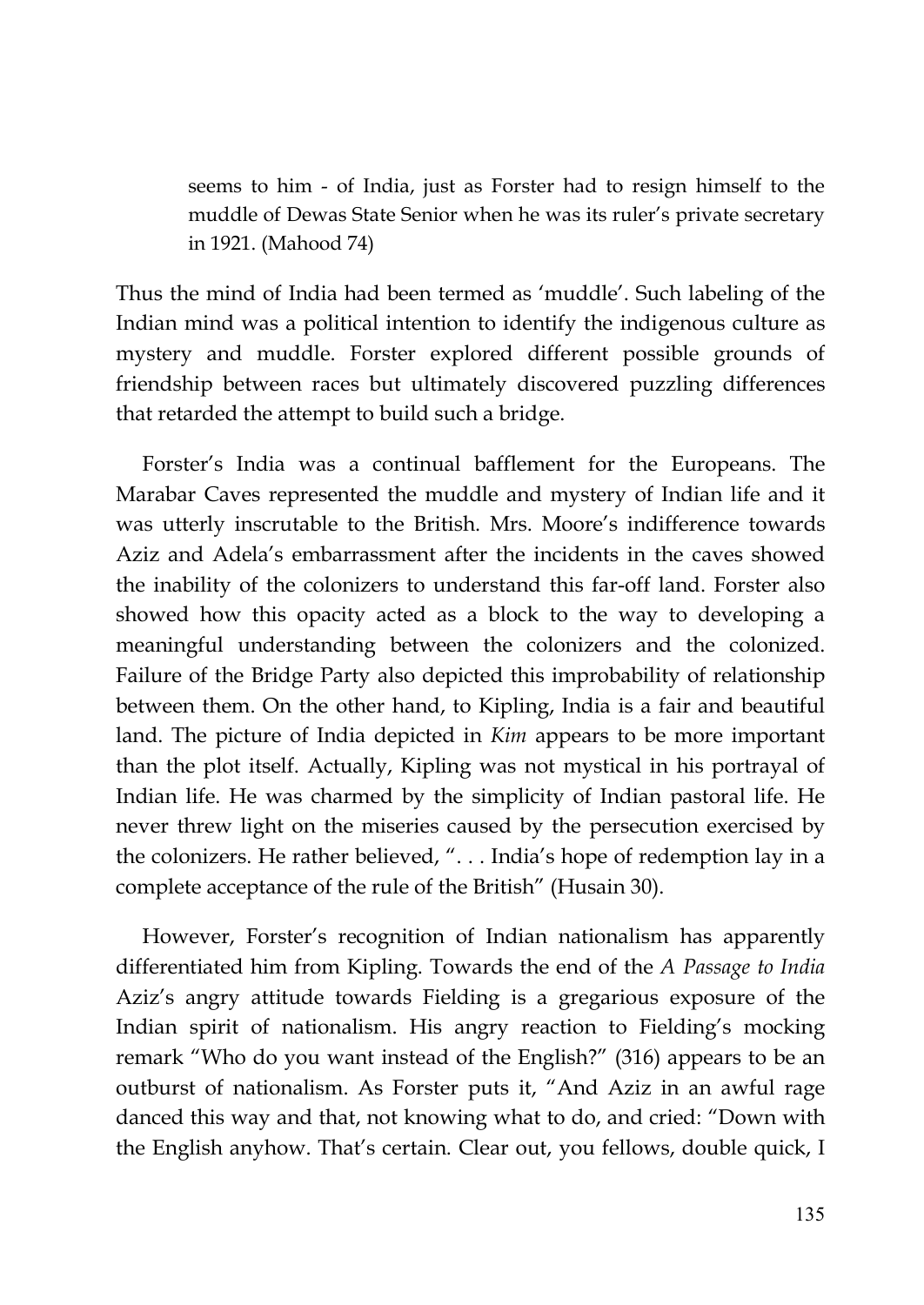seems to him - of India, just as Forster had to resign himself to the muddle of Dewas State Senior when he was its ruler's private secretary in 1921. (Mahood 74)

Thus the mind of India had been termed as 'muddle'. Such labeling of the Indian mind was a political intention to identify the indigenous culture as mystery and muddle. Forster explored different possible grounds of friendship between races but ultimately discovered puzzling differences that retarded the attempt to build such a bridge.

Forster's India was a continual bafflement for the Europeans. The Marabar Caves represented the muddle and mystery of Indian life and it was utterly inscrutable to the British. Mrs. Moore's indifference towards Aziz and Adela's embarrassment after the incidents in the caves showed the inability of the colonizers to understand this far-off land. Forster also showed how this opacity acted as a block to the way to developing a meaningful understanding between the colonizers and the colonized. Failure of the Bridge Party also depicted this improbability of relationship between them. On the other hand, to Kipling, India is a fair and beautiful land. The picture of India depicted in *Kim* appears to be more important than the plot itself. Actually, Kipling was not mystical in his portrayal of Indian life. He was charmed by the simplicity of Indian pastoral life. He never threw light on the miseries caused by the persecution exercised by the colonizers. He rather believed, ". . . India's hope of redemption lay in a complete acceptance of the rule of the British" (Husain 30).

However, Forster's recognition of Indian nationalism has apparently differentiated him from Kipling. Towards the end of the *A Passage to India* Aziz's angry attitude towards Fielding is a gregarious exposure of the Indian spirit of nationalism. His angry reaction to Fielding's mocking remark "Who do you want instead of the English?" (316) appears to be an outburst of nationalism. As Forster puts it, "And Aziz in an awful rage danced this way and that, not knowing what to do, and cried: "Down with the English anyhow. That's certain. Clear out, you fellows, double quick, I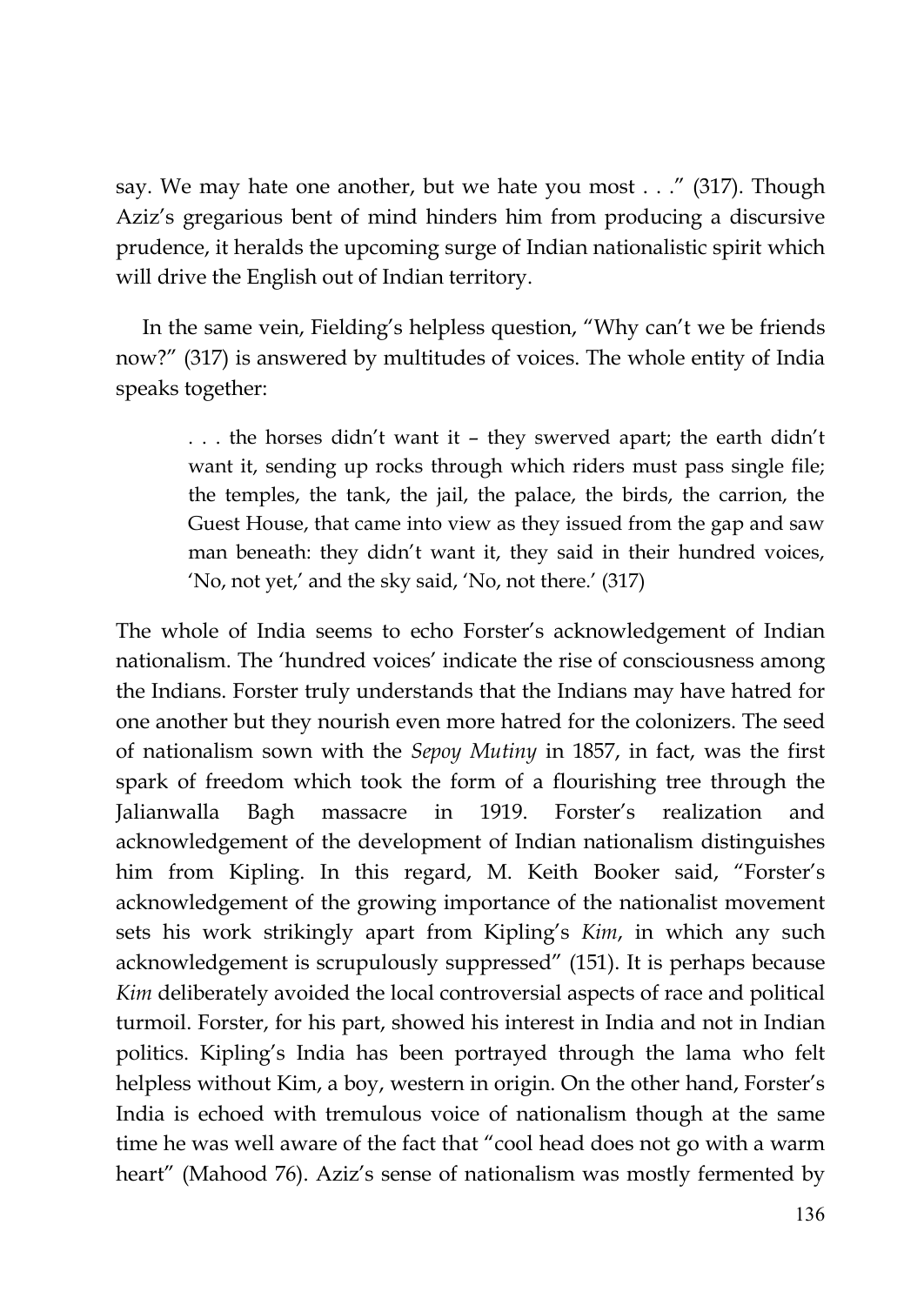say. We may hate one another, but we hate you most . . ." (317). Though Aziz's gregarious bent of mind hinders him from producing a discursive prudence, it heralds the upcoming surge of Indian nationalistic spirit which will drive the English out of Indian territory.

In the same vein, Fielding's helpless question, "Why can't we be friends now?" (317) is answered by multitudes of voices. The whole entity of India speaks together:

> . . . the horses didn't want it – they swerved apart; the earth didn't want it, sending up rocks through which riders must pass single file; the temples, the tank, the jail, the palace, the birds, the carrion, the Guest House, that came into view as they issued from the gap and saw man beneath: they didn't want it, they said in their hundred voices, 'No, not yet,' and the sky said, 'No, not there.' (317)

The whole of India seems to echo Forster's acknowledgement of Indian nationalism. The 'hundred voices' indicate the rise of consciousness among the Indians. Forster truly understands that the Indians may have hatred for one another but they nourish even more hatred for the colonizers. The seed of nationalism sown with the *Sepoy Mutiny* in 1857, in fact, was the first spark of freedom which took the form of a flourishing tree through the Jalianwalla Bagh massacre in 1919. Forster's realization and acknowledgement of the development of Indian nationalism distinguishes him from Kipling. In this regard, M. Keith Booker said, "Forster's acknowledgement of the growing importance of the nationalist movement sets his work strikingly apart from Kipling's *Kim*, in which any such acknowledgement is scrupulously suppressed" (151). It is perhaps because *Kim* deliberately avoided the local controversial aspects of race and political turmoil. Forster, for his part, showed his interest in India and not in Indian politics. Kipling's India has been portrayed through the lama who felt helpless without Kim, a boy, western in origin. On the other hand, Forster's India is echoed with tremulous voice of nationalism though at the same time he was well aware of the fact that "cool head does not go with a warm heart" (Mahood 76). Aziz's sense of nationalism was mostly fermented by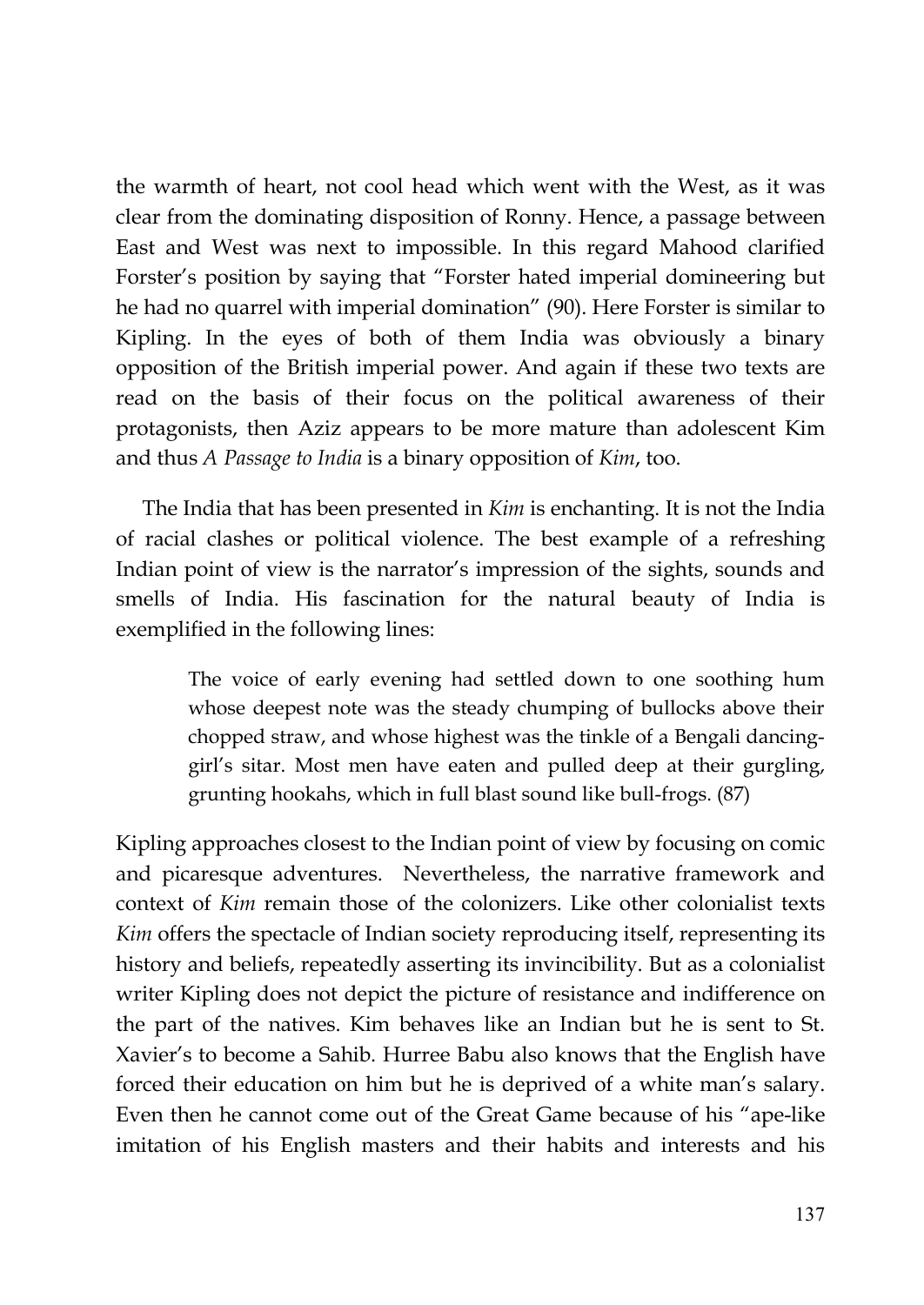the warmth of heart, not cool head which went with the West, as it was clear from the dominating disposition of Ronny. Hence, a passage between East and West was next to impossible. In this regard Mahood clarified Forster's position by saying that "Forster hated imperial domineering but he had no quarrel with imperial domination" (90). Here Forster is similar to Kipling. In the eyes of both of them India was obviously a binary opposition of the British imperial power. And again if these two texts are read on the basis of their focus on the political awareness of their protagonists, then Aziz appears to be more mature than adolescent Kim and thus *A Passage to India* is a binary opposition of *Kim*, too.

The India that has been presented in *Kim* is enchanting. It is not the India of racial clashes or political violence. The best example of a refreshing Indian point of view is the narrator's impression of the sights, sounds and smells of India. His fascination for the natural beauty of India is exemplified in the following lines:

> The voice of early evening had settled down to one soothing hum whose deepest note was the steady chumping of bullocks above their chopped straw, and whose highest was the tinkle of a Bengali dancinggirl's sitar. Most men have eaten and pulled deep at their gurgling, grunting hookahs, which in full blast sound like bull-frogs. (87)

Kipling approaches closest to the Indian point of view by focusing on comic and picaresque adventures. Nevertheless, the narrative framework and context of *Kim* remain those of the colonizers. Like other colonialist texts *Kim* offers the spectacle of Indian society reproducing itself, representing its history and beliefs, repeatedly asserting its invincibility. But as a colonialist writer Kipling does not depict the picture of resistance and indifference on the part of the natives. Kim behaves like an Indian but he is sent to St. Xavier's to become a Sahib. Hurree Babu also knows that the English have forced their education on him but he is deprived of a white man's salary. Even then he cannot come out of the Great Game because of his "ape-like imitation of his English masters and their habits and interests and his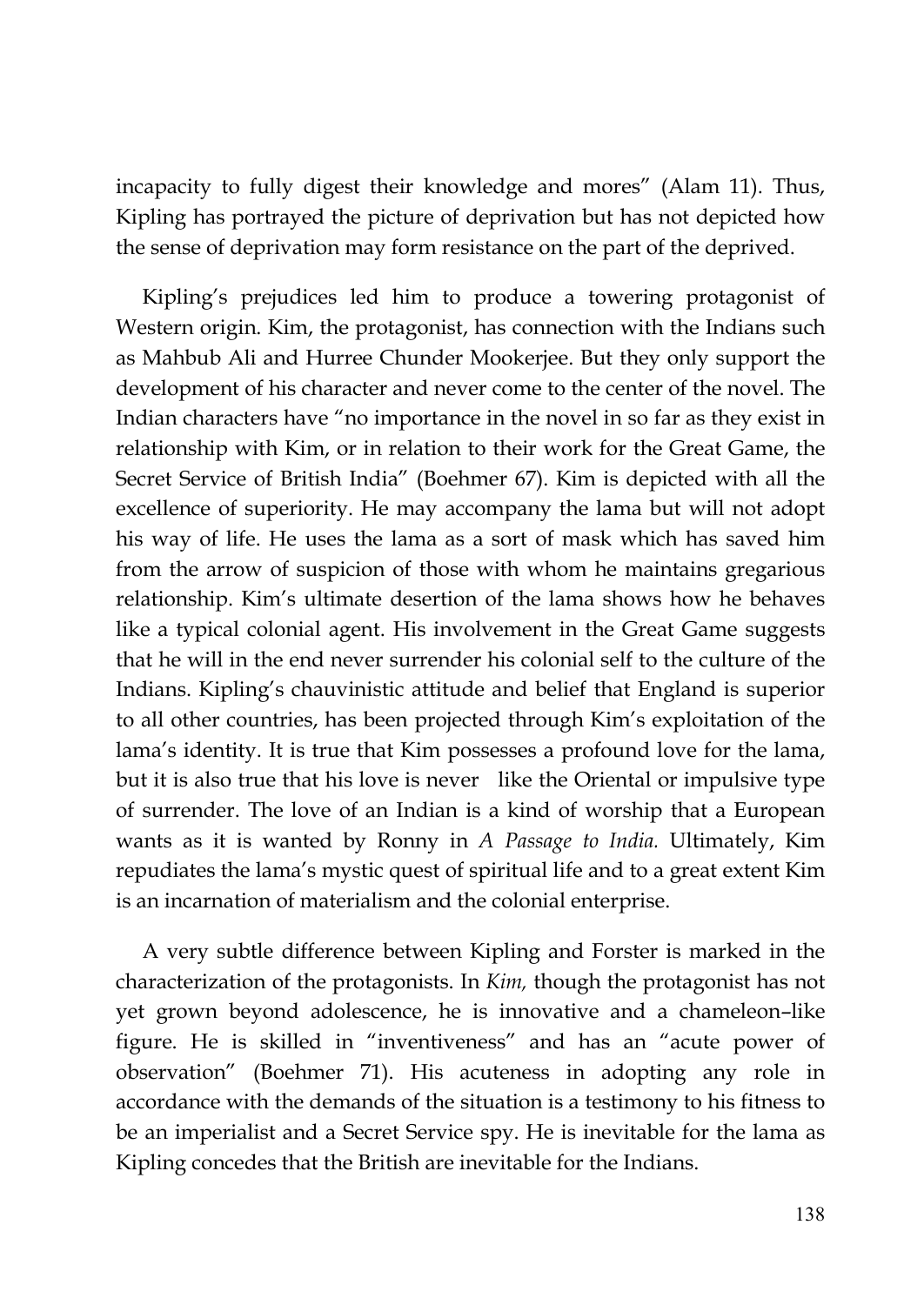incapacity to fully digest their knowledge and mores" (Alam 11). Thus, Kipling has portrayed the picture of deprivation but has not depicted how the sense of deprivation may form resistance on the part of the deprived.

Kipling's prejudices led him to produce a towering protagonist of Western origin. Kim, the protagonist, has connection with the Indians such as Mahbub Ali and Hurree Chunder Mookerjee. But they only support the development of his character and never come to the center of the novel. The Indian characters have "no importance in the novel in so far as they exist in relationship with Kim, or in relation to their work for the Great Game, the Secret Service of British India" (Boehmer 67). Kim is depicted with all the excellence of superiority. He may accompany the lama but will not adopt his way of life. He uses the lama as a sort of mask which has saved him from the arrow of suspicion of those with whom he maintains gregarious relationship. Kim's ultimate desertion of the lama shows how he behaves like a typical colonial agent. His involvement in the Great Game suggests that he will in the end never surrender his colonial self to the culture of the Indians. Kipling's chauvinistic attitude and belief that England is superior to all other countries, has been projected through Kim's exploitation of the lama's identity. It is true that Kim possesses a profound love for the lama, but it is also true that his love is never like the Oriental or impulsive type of surrender. The love of an Indian is a kind of worship that a European wants as it is wanted by Ronny in *A Passage to India.* Ultimately, Kim repudiates the lama's mystic quest of spiritual life and to a great extent Kim is an incarnation of materialism and the colonial enterprise.

A very subtle difference between Kipling and Forster is marked in the characterization of the protagonists. In *Kim,* though the protagonist has not yet grown beyond adolescence, he is innovative and a chameleon–like figure. He is skilled in "inventiveness" and has an "acute power of observation" (Boehmer 71). His acuteness in adopting any role in accordance with the demands of the situation is a testimony to his fitness to be an imperialist and a Secret Service spy. He is inevitable for the lama as Kipling concedes that the British are inevitable for the Indians.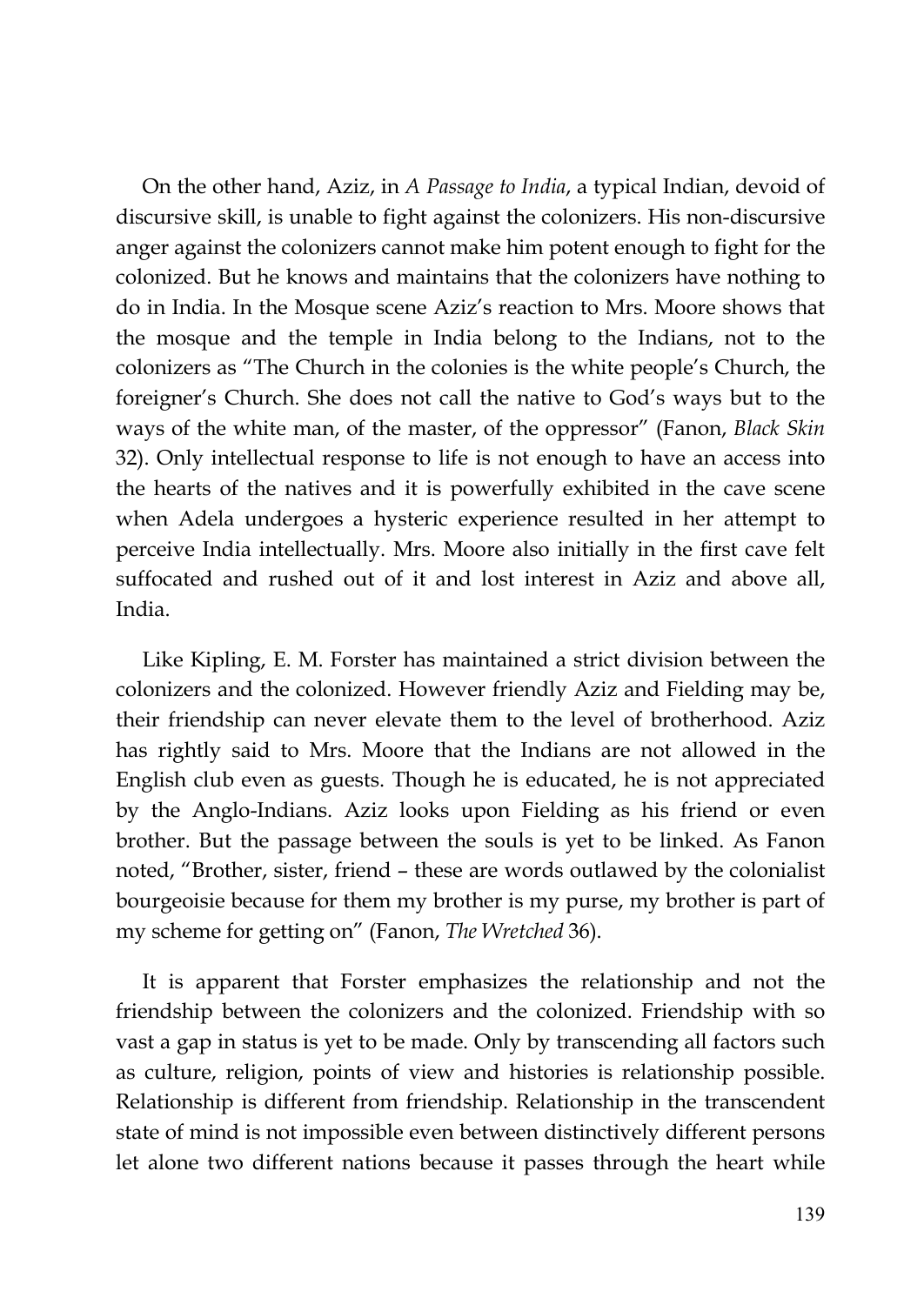On the other hand, Aziz, in *A Passage to India*, a typical Indian, devoid of discursive skill, is unable to fight against the colonizers. His non-discursive anger against the colonizers cannot make him potent enough to fight for the colonized. But he knows and maintains that the colonizers have nothing to do in India. In the Mosque scene Aziz's reaction to Mrs. Moore shows that the mosque and the temple in India belong to the Indians, not to the colonizers as "The Church in the colonies is the white people's Church, the foreigner's Church. She does not call the native to God's ways but to the ways of the white man, of the master, of the oppressor" (Fanon, *Black Skin* 32). Only intellectual response to life is not enough to have an access into the hearts of the natives and it is powerfully exhibited in the cave scene when Adela undergoes a hysteric experience resulted in her attempt to perceive India intellectually. Mrs. Moore also initially in the first cave felt suffocated and rushed out of it and lost interest in Aziz and above all, India.

Like Kipling, E. M. Forster has maintained a strict division between the colonizers and the colonized. However friendly Aziz and Fielding may be, their friendship can never elevate them to the level of brotherhood. Aziz has rightly said to Mrs. Moore that the Indians are not allowed in the English club even as guests. Though he is educated, he is not appreciated by the Anglo-Indians. Aziz looks upon Fielding as his friend or even brother. But the passage between the souls is yet to be linked. As Fanon noted, "Brother, sister, friend – these are words outlawed by the colonialist bourgeoisie because for them my brother is my purse, my brother is part of my scheme for getting on" (Fanon, *The Wretched* 36).

It is apparent that Forster emphasizes the relationship and not the friendship between the colonizers and the colonized. Friendship with so vast a gap in status is yet to be made. Only by transcending all factors such as culture, religion, points of view and histories is relationship possible. Relationship is different from friendship. Relationship in the transcendent state of mind is not impossible even between distinctively different persons let alone two different nations because it passes through the heart while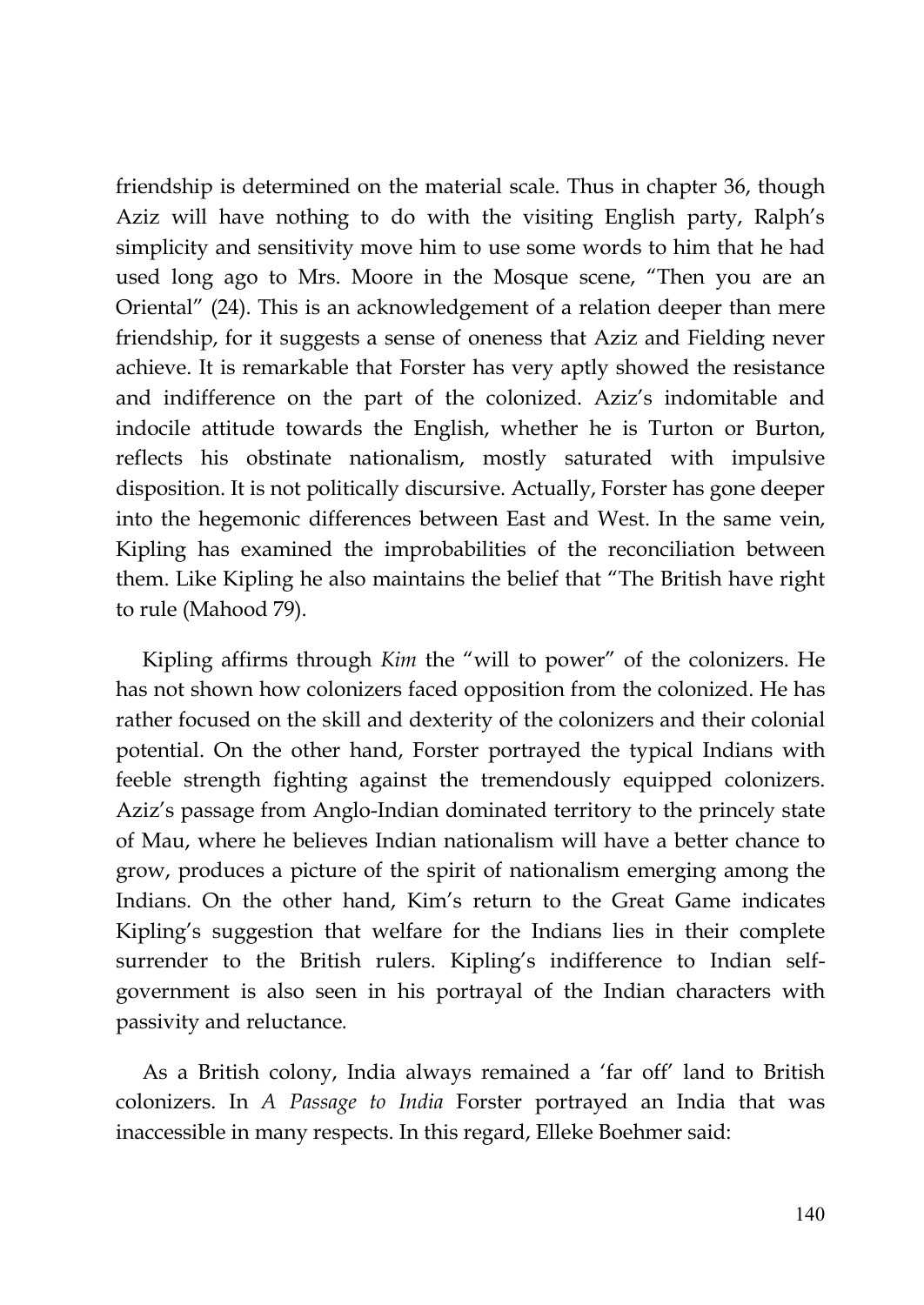friendship is determined on the material scale. Thus in chapter 36, though Aziz will have nothing to do with the visiting English party, Ralph's simplicity and sensitivity move him to use some words to him that he had used long ago to Mrs. Moore in the Mosque scene, "Then you are an Oriental" (24). This is an acknowledgement of a relation deeper than mere friendship, for it suggests a sense of oneness that Aziz and Fielding never achieve. It is remarkable that Forster has very aptly showed the resistance and indifference on the part of the colonized. Aziz's indomitable and indocile attitude towards the English, whether he is Turton or Burton, reflects his obstinate nationalism, mostly saturated with impulsive disposition. It is not politically discursive. Actually, Forster has gone deeper into the hegemonic differences between East and West. In the same vein, Kipling has examined the improbabilities of the reconciliation between them. Like Kipling he also maintains the belief that "The British have right to rule (Mahood 79).

Kipling affirms through *Kim* the "will to power" of the colonizers. He has not shown how colonizers faced opposition from the colonized. He has rather focused on the skill and dexterity of the colonizers and their colonial potential. On the other hand, Forster portrayed the typical Indians with feeble strength fighting against the tremendously equipped colonizers. Aziz's passage from Anglo-Indian dominated territory to the princely state of Mau, where he believes Indian nationalism will have a better chance to grow, produces a picture of the spirit of nationalism emerging among the Indians. On the other hand, Kim's return to the Great Game indicates Kipling's suggestion that welfare for the Indians lies in their complete surrender to the British rulers. Kipling's indifference to Indian selfgovernment is also seen in his portrayal of the Indian characters with passivity and reluctance*.*

As a British colony, India always remained a 'far off' land to British colonizers. In *A Passage to India* Forster portrayed an India that was inaccessible in many respects. In this regard, Elleke Boehmer said: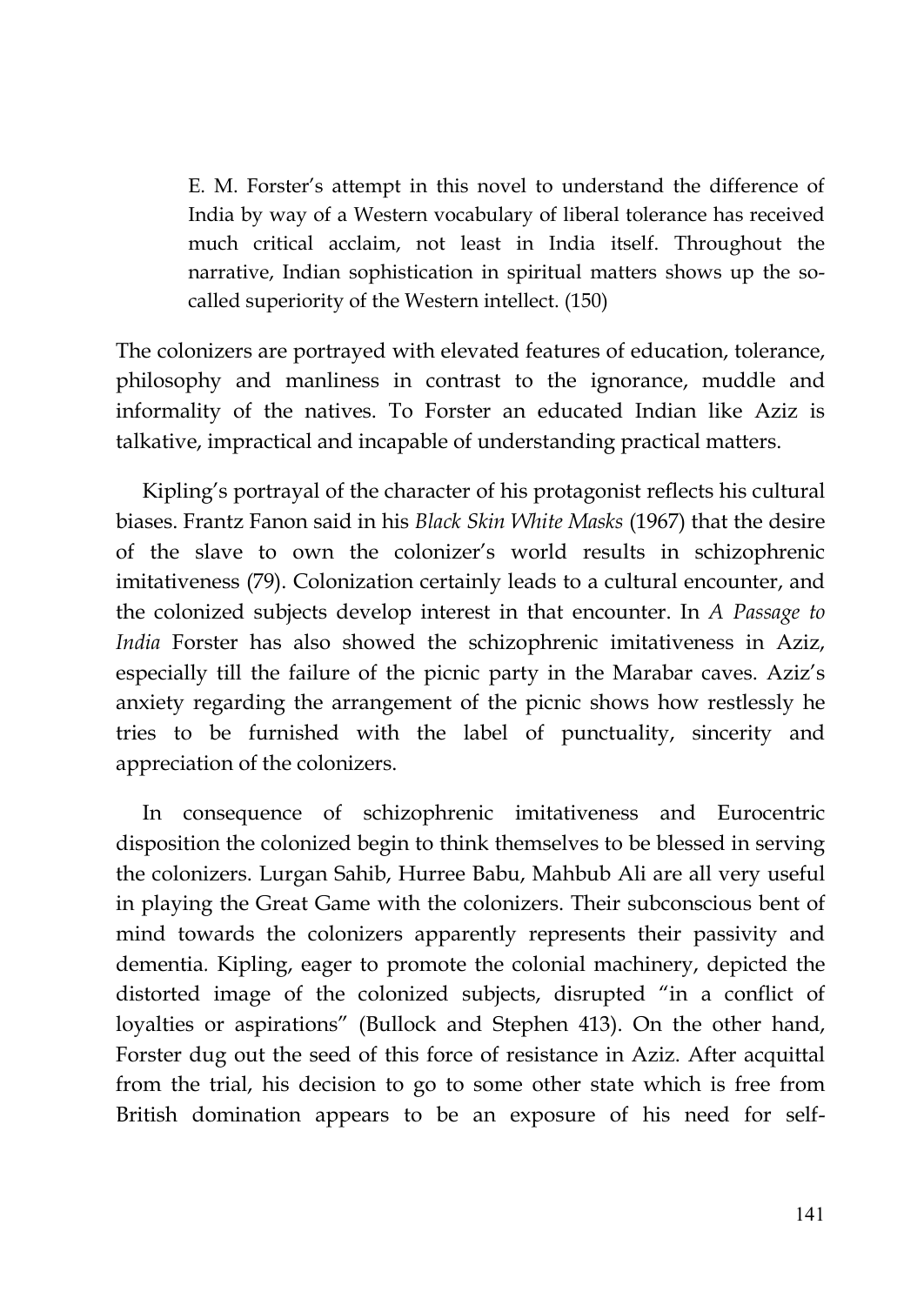E. M. Forster's attempt in this novel to understand the difference of India by way of a Western vocabulary of liberal tolerance has received much critical acclaim, not least in India itself. Throughout the narrative, Indian sophistication in spiritual matters shows up the socalled superiority of the Western intellect. (150)

The colonizers are portrayed with elevated features of education, tolerance, philosophy and manliness in contrast to the ignorance, muddle and informality of the natives. To Forster an educated Indian like Aziz is talkative, impractical and incapable of understanding practical matters.

Kipling's portrayal of the character of his protagonist reflects his cultural biases. Frantz Fanon said in his *Black Skin White Masks* (1967) that the desire of the slave to own the colonizer's world results in schizophrenic imitativeness (79). Colonization certainly leads to a cultural encounter, and the colonized subjects develop interest in that encounter. In *A Passage to India* Forster has also showed the schizophrenic imitativeness in Aziz, especially till the failure of the picnic party in the Marabar caves. Aziz's anxiety regarding the arrangement of the picnic shows how restlessly he tries to be furnished with the label of punctuality, sincerity and appreciation of the colonizers.

In consequence of schizophrenic imitativeness and Eurocentric disposition the colonized begin to think themselves to be blessed in serving the colonizers. Lurgan Sahib, Hurree Babu, Mahbub Ali are all very useful in playing the Great Game with the colonizers. Their subconscious bent of mind towards the colonizers apparently represents their passivity and dementia*.* Kipling, eager to promote the colonial machinery, depicted the distorted image of the colonized subjects, disrupted "in a conflict of loyalties or aspirations" (Bullock and Stephen 413). On the other hand, Forster dug out the seed of this force of resistance in Aziz. After acquittal from the trial, his decision to go to some other state which is free from British domination appears to be an exposure of his need for self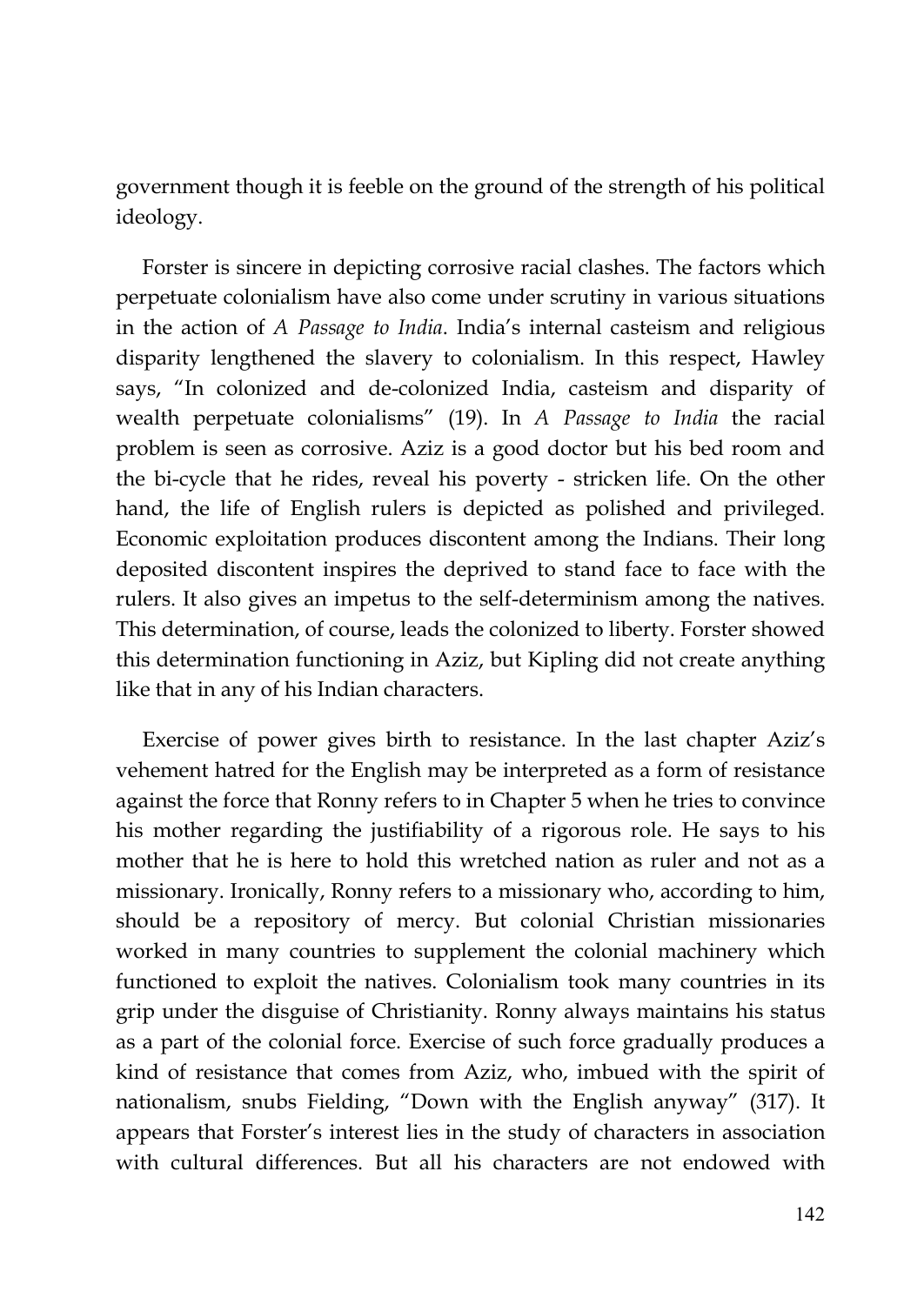government though it is feeble on the ground of the strength of his political ideology.

Forster is sincere in depicting corrosive racial clashes. The factors which perpetuate colonialism have also come under scrutiny in various situations in the action of *A Passage to India*. India's internal casteism and religious disparity lengthened the slavery to colonialism. In this respect, Hawley says, "In colonized and de-colonized India, casteism and disparity of wealth perpetuate colonialisms" (19). In *A Passage to India* the racial problem is seen as corrosive. Aziz is a good doctor but his bed room and the bi-cycle that he rides, reveal his poverty - stricken life. On the other hand, the life of English rulers is depicted as polished and privileged. Economic exploitation produces discontent among the Indians. Their long deposited discontent inspires the deprived to stand face to face with the rulers. It also gives an impetus to the self-determinism among the natives. This determination, of course, leads the colonized to liberty. Forster showed this determination functioning in Aziz, but Kipling did not create anything like that in any of his Indian characters.

Exercise of power gives birth to resistance. In the last chapter Aziz's vehement hatred for the English may be interpreted as a form of resistance against the force that Ronny refers to in Chapter 5 when he tries to convince his mother regarding the justifiability of a rigorous role. He says to his mother that he is here to hold this wretched nation as ruler and not as a missionary. Ironically, Ronny refers to a missionary who, according to him, should be a repository of mercy. But colonial Christian missionaries worked in many countries to supplement the colonial machinery which functioned to exploit the natives. Colonialism took many countries in its grip under the disguise of Christianity. Ronny always maintains his status as a part of the colonial force. Exercise of such force gradually produces a kind of resistance that comes from Aziz, who, imbued with the spirit of nationalism, snubs Fielding, "Down with the English anyway" (317). It appears that Forster's interest lies in the study of characters in association with cultural differences. But all his characters are not endowed with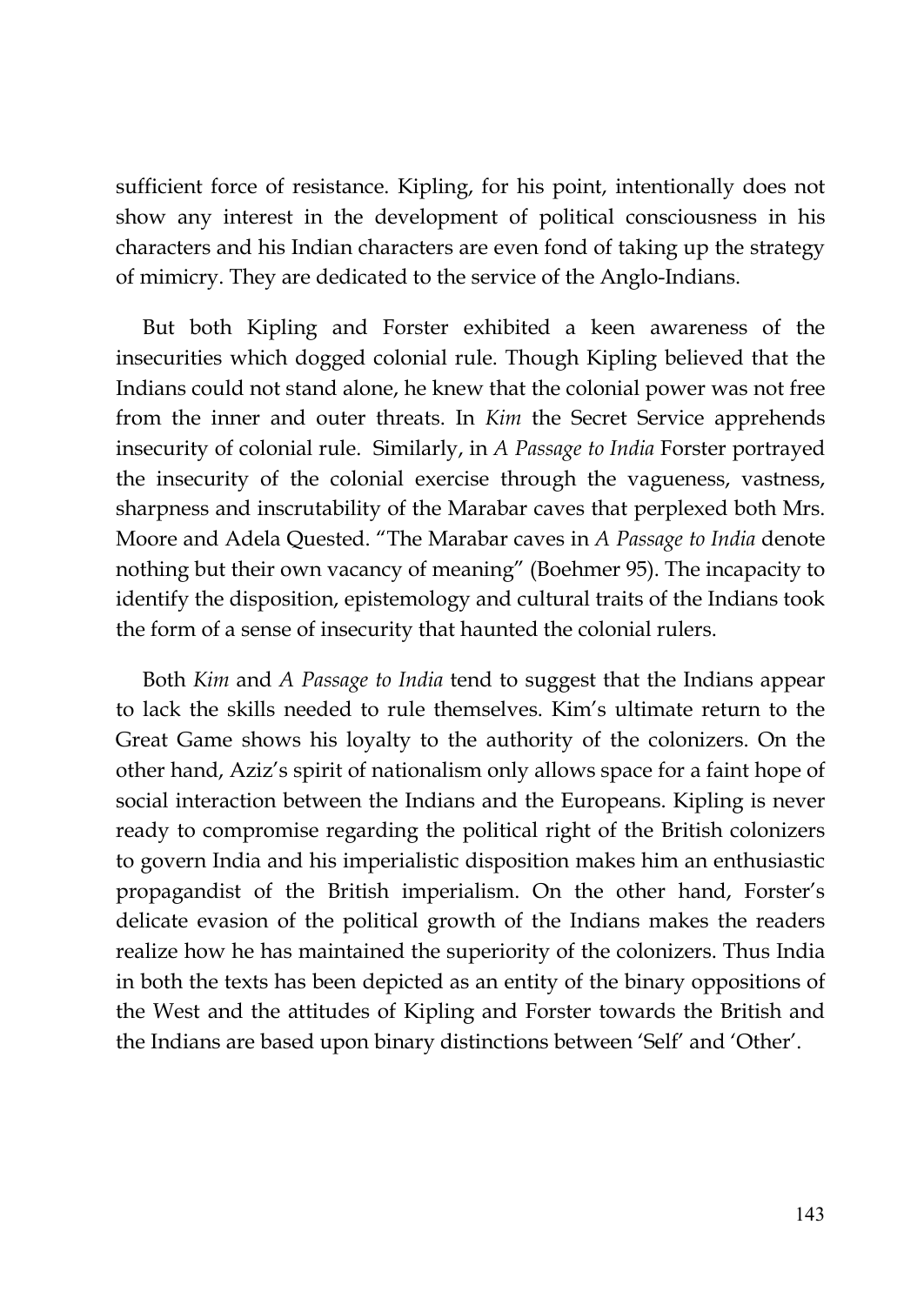sufficient force of resistance. Kipling, for his point, intentionally does not show any interest in the development of political consciousness in his characters and his Indian characters are even fond of taking up the strategy of mimicry. They are dedicated to the service of the Anglo-Indians.

But both Kipling and Forster exhibited a keen awareness of the insecurities which dogged colonial rule. Though Kipling believed that the Indians could not stand alone, he knew that the colonial power was not free from the inner and outer threats. In *Kim* the Secret Service apprehends insecurity of colonial rule. Similarly, in *A Passage to India* Forster portrayed the insecurity of the colonial exercise through the vagueness, vastness, sharpness and inscrutability of the Marabar caves that perplexed both Mrs. Moore and Adela Quested. "The Marabar caves in *A Passage to India* denote nothing but their own vacancy of meaning" (Boehmer 95). The incapacity to identify the disposition, epistemology and cultural traits of the Indians took the form of a sense of insecurity that haunted the colonial rulers.

Both *Kim* and *A Passage to India* tend to suggest that the Indians appear to lack the skills needed to rule themselves. Kim's ultimate return to the Great Game shows his loyalty to the authority of the colonizers. On the other hand, Aziz's spirit of nationalism only allows space for a faint hope of social interaction between the Indians and the Europeans. Kipling is never ready to compromise regarding the political right of the British colonizers to govern India and his imperialistic disposition makes him an enthusiastic propagandist of the British imperialism. On the other hand, Forster's delicate evasion of the political growth of the Indians makes the readers realize how he has maintained the superiority of the colonizers. Thus India in both the texts has been depicted as an entity of the binary oppositions of the West and the attitudes of Kipling and Forster towards the British and the Indians are based upon binary distinctions between 'Self' and 'Other'.